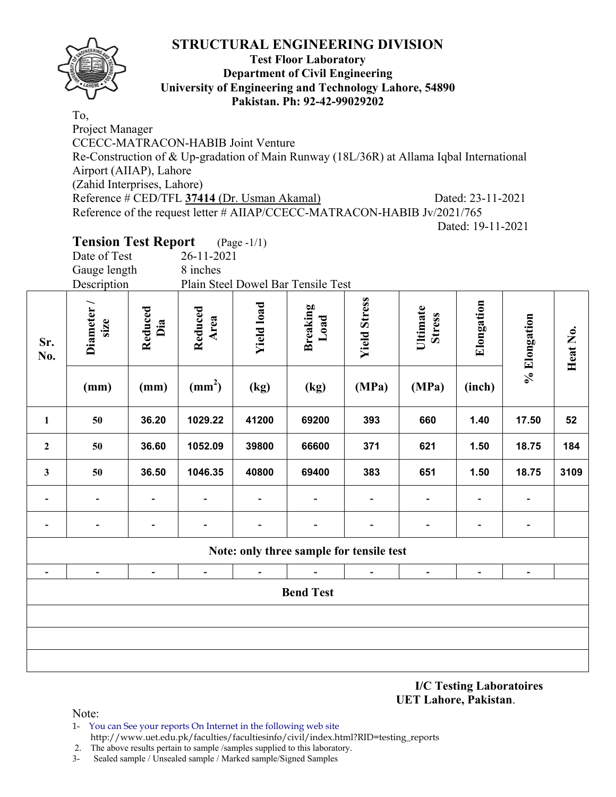

### **Test Floor Laboratory Department of Civil Engineering University of Engineering and Technology Lahore, 54890 Pakistan. Ph: 92-42-99029202**

To, Project Manager CCECC-MATRACON-HABIB Joint Venture Re-Construction of & Up-gradation of Main Runway (18L/36R) at Allama Iqbal International Airport (AIIAP), Lahore (Zahid Interprises, Lahore) Reference # CED/TFL **37414** (Dr. Usman Akamal) Dated: 23-11-2021 Reference of the request letter # AIIAP/CCECC-MATRACON-HABIB Jv/2021/765 Dated: 19-11-2021

# **Tension Test Report** (Page -1/1)

| Date of Test | 26-11-2021                         |
|--------------|------------------------------------|
| Gauge length | 8 inches                           |
| Description  | Plain Steel Dowel Bar Tensile Test |

| Sr.<br>No.               | <b>Diameter</b><br>size<br>(mm) | Reduced<br>Dia<br>(mm) | Reduced<br>Area<br>$\text{(mm}^2)$ | <b>Yield load</b><br>(kg) | Breaking<br>Load<br>(kg)                 | <b>Yield Stress</b><br>(MPa) | Ultimate<br><b>Stress</b><br>(MPa) | Elongation<br>(inch)     | % Elongation             | Heat No. |
|--------------------------|---------------------------------|------------------------|------------------------------------|---------------------------|------------------------------------------|------------------------------|------------------------------------|--------------------------|--------------------------|----------|
| $\mathbf{1}$             | 50                              | 36.20                  | 1029.22                            | 41200                     | 69200                                    | 393                          | 660                                | 1.40                     | 17.50                    | 52       |
| $\boldsymbol{2}$         | 50                              | 36.60                  | 1052.09                            | 39800                     | 66600                                    | 371                          | 621                                | 1.50                     | 18.75                    | 184      |
| 3                        | $50\,$                          | 36.50                  | 1046.35                            | 40800                     | 69400                                    | 383                          | 651                                | 1.50                     | 18.75                    | 3109     |
|                          |                                 |                        |                                    |                           | -                                        |                              |                                    |                          |                          |          |
|                          |                                 |                        |                                    |                           |                                          |                              |                                    |                          |                          |          |
|                          |                                 |                        |                                    |                           | Note: only three sample for tensile test |                              |                                    |                          |                          |          |
| $\overline{\phantom{a}}$ | $\overline{\phantom{a}}$        | $\qquad \qquad -$      | $\blacksquare$                     | $\overline{\phantom{a}}$  | $\blacksquare$                           | $\overline{\phantom{a}}$     | $\overline{\phantom{a}}$           | $\overline{\phantom{a}}$ | $\overline{\phantom{a}}$ |          |
| <b>Bend Test</b>         |                                 |                        |                                    |                           |                                          |                              |                                    |                          |                          |          |
|                          |                                 |                        |                                    |                           |                                          |                              |                                    |                          |                          |          |
|                          |                                 |                        |                                    |                           |                                          |                              |                                    |                          |                          |          |
|                          |                                 |                        |                                    |                           |                                          |                              |                                    |                          |                          |          |

**I/C Testing Laboratoires UET Lahore, Pakistan**.

Note:

1- You can See your reports On Internet in the following web site http://www.uet.edu.pk/faculties/facultiesinfo/civil/index.html?RID=testing\_reports

2. The above results pertain to sample /samples supplied to this laboratory.

3- Sealed sample / Unsealed sample / Marked sample/Signed Samples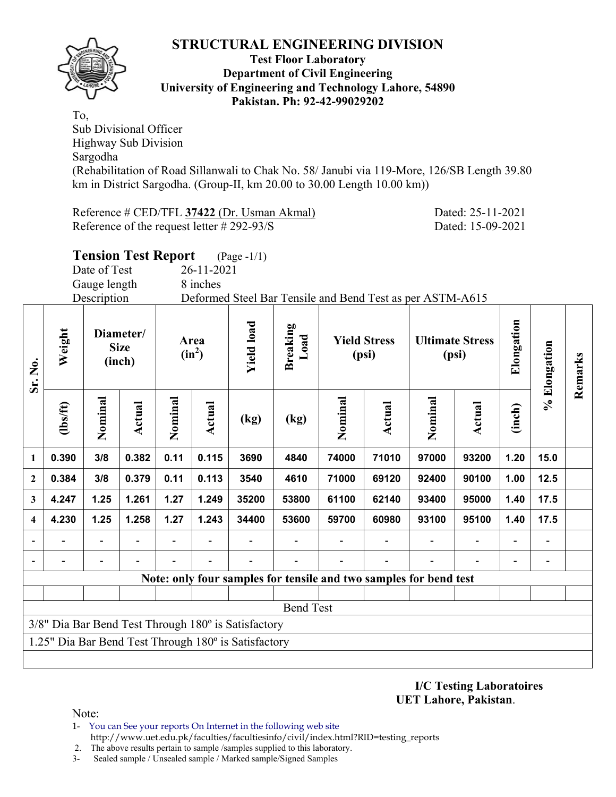

#### **Test Floor Laboratory Department of Civil Engineering University of Engineering and Technology Lahore, 54890 Pakistan. Ph: 92-42-99029202**

To, Sub Divisional Officer Highway Sub Division Sargodha (Rehabilitation of Road Sillanwali to Chak No. 58/ Janubi via 119-More, 126/SB Length 39.80 km in District Sargodha. (Group-II, km 20.00 to 30.00 Length 10.00 km))

Reference # CED/TFL **37422** (Dr. Usman Akmal) Dated: 25-11-2021 Reference of the request letter # 292-93/S Dated: 15-09-2021

|              | <b>Tension Test Report</b> (Page -1/1) |  |                                                           |  |
|--------------|----------------------------------------|--|-----------------------------------------------------------|--|
| Date of Test | $26 - 11 - 2021$                       |  |                                                           |  |
| Gauge length | 8 inches                               |  |                                                           |  |
| Description  |                                        |  | Deformed Steel Bar Tensile and Bend Test as per ASTM-A615 |  |
|              |                                        |  |                                                           |  |
|              |                                        |  |                                                           |  |

| Sr. No.                  | Weight                                               |         | Diameter/<br><b>Size</b><br>(inch) |         | Area<br>$(in^2)$ | <b>Yield load</b> | <b>Breaking</b><br>Load |                                                                   | <b>Yield Stress</b><br>(psi) | <b>Ultimate Stress</b><br>(psi) |        | Elongation | % Elongation |         |
|--------------------------|------------------------------------------------------|---------|------------------------------------|---------|------------------|-------------------|-------------------------|-------------------------------------------------------------------|------------------------------|---------------------------------|--------|------------|--------------|---------|
|                          | (1bs/ft)                                             | Nominal | <b>Actual</b>                      | Nominal | Actual           | (kg)              | (kg)                    | Nominal                                                           | <b>Actual</b>                | Nominal                         | Actual | (inch)     |              | Remarks |
| 1                        | 0.390                                                | 3/8     | 0.382                              | 0.11    | 0.115            | 3690              | 4840                    | 74000                                                             | 71010                        | 97000                           | 93200  | 1.20       | 15.0         |         |
| $\boldsymbol{2}$         | 0.384                                                | 3/8     | 0.379                              | 0.11    | 0.113            | 3540              | 4610                    | 71000                                                             | 69120                        | 92400                           | 90100  | 1.00       | 12.5         |         |
| 3                        | 4.247                                                | 1.25    | 1.261                              | 1.27    | 1.249            | 35200             | 53800                   | 61100                                                             | 62140                        | 93400                           | 95000  | 1.40       | 17.5         |         |
| $\overline{\mathbf{4}}$  | 4.230                                                | 1.25    | 1.258                              | 1.27    | 1.243            | 34400             | 53600                   | 59700                                                             | 60980                        | 93100                           | 95100  | 1.40       | 17.5         |         |
|                          |                                                      |         |                                    |         |                  |                   |                         |                                                                   |                              |                                 |        |            |              |         |
| $\overline{\phantom{a}}$ |                                                      |         |                                    |         |                  |                   |                         |                                                                   |                              |                                 |        |            |              |         |
|                          |                                                      |         |                                    |         |                  |                   |                         | Note: only four samples for tensile and two samples for bend test |                              |                                 |        |            |              |         |
|                          |                                                      |         |                                    |         |                  |                   |                         |                                                                   |                              |                                 |        |            |              |         |
|                          | <b>Bend Test</b>                                     |         |                                    |         |                  |                   |                         |                                                                   |                              |                                 |        |            |              |         |
|                          | 3/8" Dia Bar Bend Test Through 180° is Satisfactory  |         |                                    |         |                  |                   |                         |                                                                   |                              |                                 |        |            |              |         |
|                          | 1.25" Dia Bar Bend Test Through 180° is Satisfactory |         |                                    |         |                  |                   |                         |                                                                   |                              |                                 |        |            |              |         |
|                          |                                                      |         |                                    |         |                  |                   |                         |                                                                   |                              |                                 |        |            |              |         |

**I/C Testing Laboratoires UET Lahore, Pakistan**.

Note:

- 1- You can See your reports On Internet in the following web site http://www.uet.edu.pk/faculties/facultiesinfo/civil/index.html?RID=testing\_reports
- 2. The above results pertain to sample /samples supplied to this laboratory.
- 3- Sealed sample / Unsealed sample / Marked sample/Signed Samples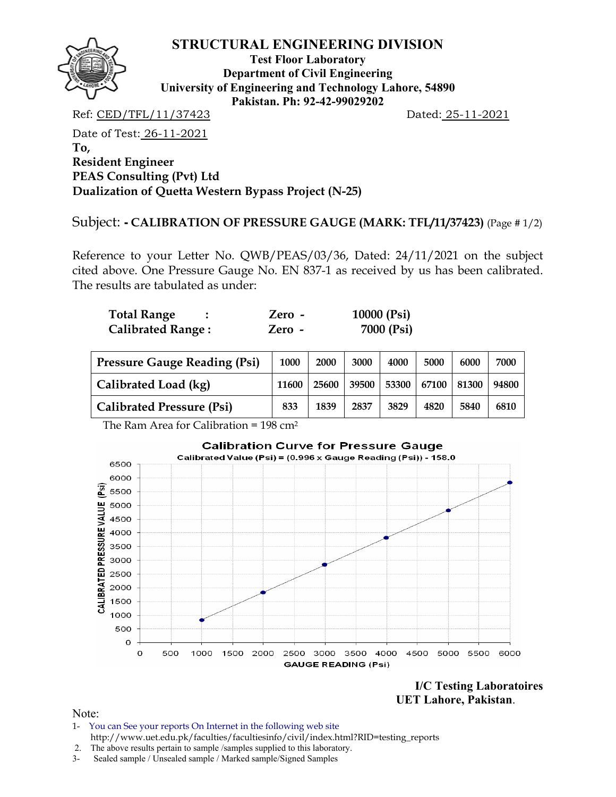

**Test Floor Laboratory Department of Civil Engineering University of Engineering and Technology Lahore, 54890 Pakistan. Ph: 92-42-99029202** 

Ref: CED/TFL/11/37423 Dated: 25-11-2021

Date of Test: 26-11-2021 **To, Resident Engineer PEAS Consulting (Pvt) Ltd Dualization of Quetta Western Bypass Project (N-25)** 

Subject: **- CALIBRATION OF PRESSURE GAUGE (MARK: TFL/11/37423)** (Page # 1/2)

Reference to your Letter No. QWB/PEAS/03/36, Dated: 24/11/2021 on the subject cited above. One Pressure Gauge No. EN 837-1 as received by us has been calibrated. The results are tabulated as under:

| <b>Total Range</b>       | Zero - | 10000 $(Psi)$ |
|--------------------------|--------|---------------|
| <b>Calibrated Range:</b> | Zero - | 7000 (Psi)    |

| Pressure Gauge Reading (Psi) | 1000  | 2000  | 3000  | 4000 | 5000              | 6000 | 7000  |
|------------------------------|-------|-------|-------|------|-------------------|------|-------|
| Calibrated Load (kg)         | 11600 | 25600 | 39500 |      | 53300 67100 81300 |      | 94800 |
| Calibrated Pressure (Psi)    | 833   | 1839  | 2837  | 3829 | 4820              | 5840 | 6810  |

The Ram Area for Calibration =  $198 \text{ cm}^2$ 



**I/C Testing Laboratoires UET Lahore, Pakistan**.

Note:

- 1- You can See your reports On Internet in the following web site http://www.uet.edu.pk/faculties/facultiesinfo/civil/index.html?RID=testing\_reports
- 2. The above results pertain to sample /samples supplied to this laboratory.
- 3- Sealed sample / Unsealed sample / Marked sample/Signed Samples